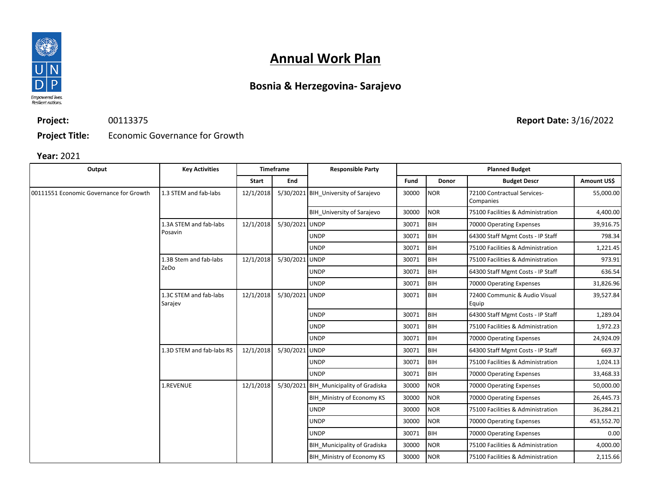

## **Annual Work Plan**

## **Bosnia & Herzegovina- Sarajevo**

**Project:** 00113375

**Project Title:** Economic Governance for Growth

#### **Year:** 2021

| Output                                  | <b>Key Activities</b>             | <b>Timeframe</b> |                | <b>Responsible Party</b>               | <b>Planned Budget</b> |            |                                          |             |  |
|-----------------------------------------|-----------------------------------|------------------|----------------|----------------------------------------|-----------------------|------------|------------------------------------------|-------------|--|
|                                         |                                   | Start            | End            |                                        | Fund                  | Donor      | <b>Budget Descr</b>                      | Amount US\$ |  |
| 00111551 Economic Governance for Growth | 1.3 STEM and fab-labs             | 12/1/2018        |                | 5/30/2021 BIH University of Sarajevo   | 30000                 | <b>NOR</b> | 72100 Contractual Services-<br>Companies | 55,000.00   |  |
|                                         |                                   |                  |                | BIH University of Sarajevo             | 30000                 | <b>NOR</b> | 75100 Facilities & Administration        | 4,400.00    |  |
|                                         | 1.3A STEM and fab-labs<br>Posavin | 12/1/2018        | 5/30/2021 UNDP |                                        | 30071                 | BIH        | 70000 Operating Expenses                 | 39,916.75   |  |
|                                         |                                   |                  |                | <b>UNDP</b>                            | 30071                 | <b>BIH</b> | 64300 Staff Mgmt Costs - IP Staff        | 798.34      |  |
|                                         |                                   |                  |                | <b>UNDP</b>                            | 30071                 | <b>BIH</b> | 75100 Facilities & Administration        | 1,221.45    |  |
|                                         | 1.3B Stem and fab-labs<br>ZeDo    | 12/1/2018        | 5/30/2021 UNDP |                                        | 30071                 | <b>BIH</b> | 75100 Facilities & Administration        | 973.91      |  |
|                                         |                                   |                  |                | <b>UNDP</b>                            | 30071                 | <b>BIH</b> | 64300 Staff Mgmt Costs - IP Staff        | 636.54      |  |
|                                         |                                   |                  |                | <b>UNDP</b>                            | 30071                 | <b>BIH</b> | 70000 Operating Expenses                 | 31,826.96   |  |
|                                         | 1.3C STEM and fab-labs<br>Sarajev | 12/1/2018        | 5/30/2021 UNDP |                                        | 30071                 | BIH        | 72400 Communic & Audio Visual<br>Equip   | 39,527.84   |  |
|                                         |                                   |                  |                | <b>UNDP</b>                            | 30071                 | <b>BIH</b> | 64300 Staff Mgmt Costs - IP Staff        | 1,289.04    |  |
|                                         |                                   |                  |                | <b>UNDP</b>                            | 30071                 | <b>BIH</b> | 75100 Facilities & Administration        | 1,972.23    |  |
|                                         |                                   |                  |                | <b>UNDP</b>                            | 30071                 | BIH        | 70000 Operating Expenses                 | 24,924.09   |  |
|                                         | 1.3D STEM and fab-labs RS         | 12/1/2018        | 5/30/2021 UNDP |                                        | 30071                 | BIH        | 64300 Staff Mgmt Costs - IP Staff        | 669.37      |  |
|                                         |                                   |                  |                | <b>UNDP</b>                            | 30071                 | BIH        | 75100 Facilities & Administration        | 1,024.13    |  |
|                                         |                                   |                  |                | <b>UNDP</b>                            | 30071                 | BIH        | 70000 Operating Expenses                 | 33,468.33   |  |
|                                         | 1.REVENUE                         | 12/1/2018        |                | 5/30/2021 BIH Municipality of Gradiska | 30000                 | <b>NOR</b> | 70000 Operating Expenses                 | 50,000.00   |  |
|                                         |                                   |                  |                | BIH Ministry of Economy KS             | 30000                 | <b>NOR</b> | 70000 Operating Expenses                 | 26,445.73   |  |
|                                         |                                   |                  |                | <b>UNDP</b>                            | 30000                 | <b>NOR</b> | 75100 Facilities & Administration        | 36,284.21   |  |
|                                         |                                   |                  |                | <b>UNDP</b>                            | 30000                 | <b>NOR</b> | 70000 Operating Expenses                 | 453,552.70  |  |
|                                         |                                   |                  |                | <b>UNDP</b>                            | 30071                 | BIH        | 70000 Operating Expenses                 | 0.00        |  |
|                                         |                                   |                  |                | BIH Municipality of Gradiska           | 30000                 | <b>NOR</b> | 75100 Facilities & Administration        | 4,000.00    |  |
|                                         |                                   |                  |                | BIH Ministry of Economy KS             | 30000                 | <b>NOR</b> | 75100 Facilities & Administration        | 2,115.66    |  |

**Report Date:** 3/16/2022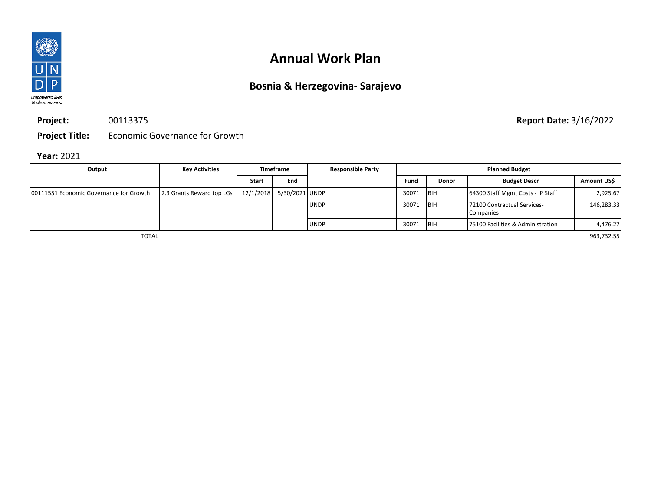

# **Annual Work Plan**

## **Bosnia & Herzegovina- Sarajevo**

**Project:**

00113375

**Project Title:** Economic Governance for Growth

#### **Year:** 2021

| Output                                   | <b>Key Activities</b>     | Timeframe    |                          | <b>Responsible Party</b> | <b>Planned Budget</b> |             |                                          |             |
|------------------------------------------|---------------------------|--------------|--------------------------|--------------------------|-----------------------|-------------|------------------------------------------|-------------|
|                                          |                           | <b>Start</b> | End                      |                          | Fund                  | Donor       | <b>Budget Descr</b>                      | Amount US\$ |
| 100111551 Economic Governance for Growth | 2.3 Grants Reward top LGs |              | 12/1/2018 5/30/2021 UNDP |                          | 30071                 | <b>IBIH</b> | 64300 Staff Mgmt Costs - IP Staff        | 2,925.67    |
|                                          |                           |              |                          | <b>UNDP</b>              | 30071                 | <b>IBIH</b> | 72100 Contractual Services-<br>Companies | 146,283.33  |
|                                          |                           |              |                          | <b>UNDP</b>              | 30071                 | <b>IBIH</b> | 75100 Facilities & Administration        | 4,476.27    |
| <b>TOTAL</b>                             |                           |              |                          |                          |                       |             |                                          | 963,732.55  |

**Report Date:** 3/16/2022